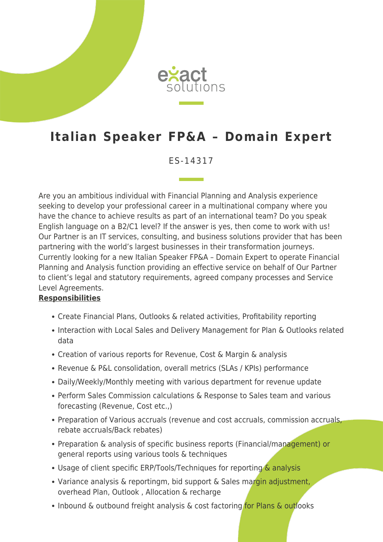

# **Italian Speaker FP&A – Domain Expert**

### ES-14317

Are you an ambitious individual with Financial Planning and Analysis experience seeking to develop your professional career in a multinational company where you have the chance to achieve results as part of an international team? Do you speak English language on a B2/C1 level? If the answer is yes, then come to work with us! Our Partner is an IT services, consulting, and business solutions provider that has been partnering with the world's largest businesses in their transformation journeys. Currently looking for a new Italian Speaker FP&A – Domain Expert to operate Financial Planning and Analysis function providing an effective service on behalf of Our Partner to client's legal and statutory requirements, agreed company processes and Service Level Agreements.

#### **Responsibilities**

- Create Financial Plans, Outlooks & related activities, Profitability reporting
- Interaction with Local Sales and Delivery Management for Plan & Outlooks related data
- Creation of various reports for Revenue, Cost & Margin & analysis
- Revenue & P&L consolidation, overall metrics (SLAs / KPIs) performance
- Daily/Weekly/Monthly meeting with various department for revenue update
- Perform Sales Commission calculations & Response to Sales team and various forecasting (Revenue, Cost etc.,)
- Preparation of Various accruals (revenue and cost accruals, commission accruals, rebate accruals/Back rebates)
- Preparation & analysis of specific business reports (Financial/management) or general reports using various tools & techniques
- Usage of client specific ERP/Tools/Techniques for reporting & analysis
- Variance analysis & reportingm, bid support & Sales margin adjustment, overhead Plan, Outlook , Allocation & recharge
- Inbound & outbound freight analysis & cost factoring for Plans & outlooks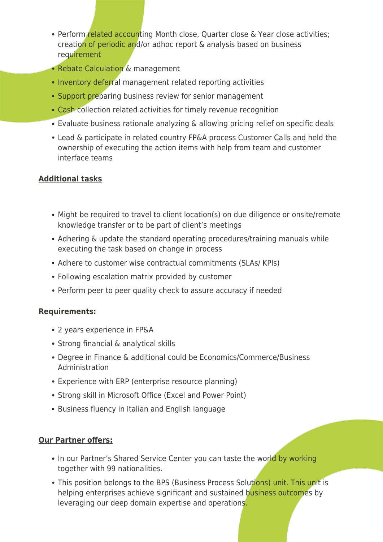- Perform related accounting Month close, Quarter close & Year close activities; creation of periodic and/or adhoc report & analysis based on business requirement
- Rebate Calculation & management
- Inventory deferral management related reporting activities
- Support preparing business review for senior management
- Cash collection related activities for timely revenue recognition
- Evaluate business rationale analyzing & allowing pricing relief on specific deals
- Lead & participate in related country FP&A process Customer Calls and held the ownership of executing the action items with help from team and customer interface teams

# **Additional tasks**

- Might be required to travel to client location(s) on due diligence or onsite/remote knowledge transfer or to be part of client's meetings
- Adhering & update the standard operating procedures/training manuals while executing the task based on change in process
- Adhere to customer wise contractual commitments (SLAs/ KPIs)
- Following escalation matrix provided by customer
- Perform peer to peer quality check to assure accuracy if needed

## **Requirements:**

- 2 years experience in FP&A
- Strong financial & analytical skills
- Degree in Finance & additional could be Economics/Commerce/Business Administration
- Experience with ERP (enterprise resource planning)
- Strong skill in Microsoft Office (Excel and Power Point)
- Business fluency in Italian and English language

## **Our Partner offers:**

- In our Partner's Shared Service Center you can taste the world by working together with 99 nationalities.
- This position belongs to the BPS (Business Process Solutions) unit. This unit is helping enterprises achieve significant and sustained business outcomes by leveraging our deep domain expertise and operations.